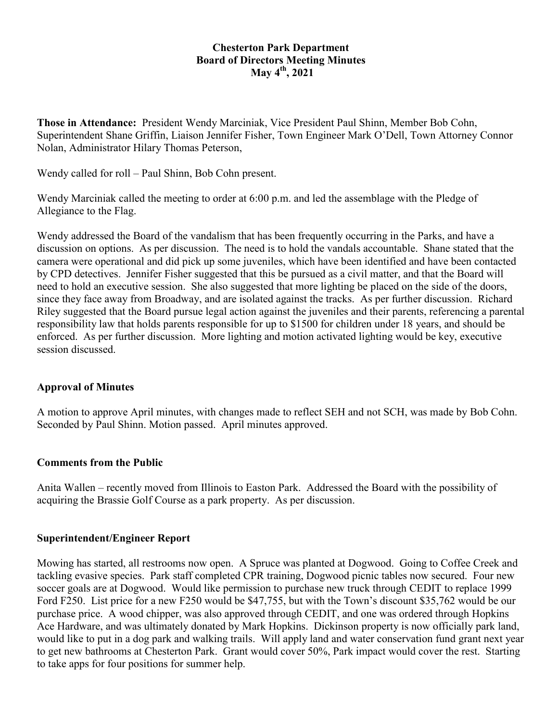### **Chesterton Park Department Board of Directors Meeting Minutes May 4th, 2021**

**Those in Attendance:** President Wendy Marciniak, Vice President Paul Shinn, Member Bob Cohn, Superintendent Shane Griffin, Liaison Jennifer Fisher, Town Engineer Mark O'Dell, Town Attorney Connor Nolan, Administrator Hilary Thomas Peterson,

Wendy called for roll – Paul Shinn, Bob Cohn present.

Wendy Marciniak called the meeting to order at 6:00 p.m. and led the assemblage with the Pledge of Allegiance to the Flag.

Wendy addressed the Board of the vandalism that has been frequently occurring in the Parks, and have a discussion on options. As per discussion. The need is to hold the vandals accountable. Shane stated that the camera were operational and did pick up some juveniles, which have been identified and have been contacted by CPD detectives. Jennifer Fisher suggested that this be pursued as a civil matter, and that the Board will need to hold an executive session. She also suggested that more lighting be placed on the side of the doors, since they face away from Broadway, and are isolated against the tracks. As per further discussion. Richard Riley suggested that the Board pursue legal action against the juveniles and their parents, referencing a parental responsibility law that holds parents responsible for up to \$1500 for children under 18 years, and should be enforced. As per further discussion. More lighting and motion activated lighting would be key, executive session discussed.

### **Approval of Minutes**

A motion to approve April minutes, with changes made to reflect SEH and not SCH, was made by Bob Cohn. Seconded by Paul Shinn. Motion passed. April minutes approved.

### **Comments from the Public**

Anita Wallen – recently moved from Illinois to Easton Park. Addressed the Board with the possibility of acquiring the Brassie Golf Course as a park property. As per discussion.

### **Superintendent/Engineer Report**

Mowing has started, all restrooms now open. A Spruce was planted at Dogwood. Going to Coffee Creek and tackling evasive species. Park staff completed CPR training, Dogwood picnic tables now secured. Four new soccer goals are at Dogwood. Would like permission to purchase new truck through CEDIT to replace 1999 Ford F250. List price for a new F250 would be \$47,755, but with the Town's discount \$35,762 would be our purchase price. A wood chipper, was also approved through CEDIT, and one was ordered through Hopkins Ace Hardware, and was ultimately donated by Mark Hopkins. Dickinson property is now officially park land, would like to put in a dog park and walking trails. Will apply land and water conservation fund grant next year to get new bathrooms at Chesterton Park. Grant would cover 50%, Park impact would cover the rest. Starting to take apps for four positions for summer help.